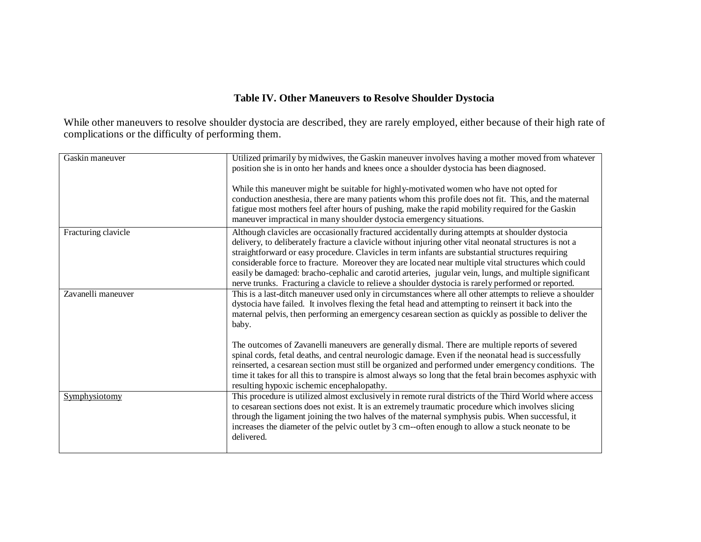## **Table IV. Other Maneuvers to Resolve Shoulder Dystocia**

While other maneuvers to resolve shoulder dystocia are described, they are rarely employed, either because of their high rate of complications or the difficulty of performing them.

| Gaskin maneuver     | Utilized primarily by midwives, the Gaskin maneuver involves having a mother moved from whatever<br>position she is in onto her hands and knees once a shoulder dystocia has been diagnosed.<br>While this maneuver might be suitable for highly-motivated women who have not opted for<br>conduction anesthesia, there are many patients whom this profile does not fit. This, and the maternal<br>fatigue most mothers feel after hours of pushing, make the rapid mobility required for the Gaskin<br>maneuver impractical in many shoulder dystocia emergency situations.                                                            |
|---------------------|------------------------------------------------------------------------------------------------------------------------------------------------------------------------------------------------------------------------------------------------------------------------------------------------------------------------------------------------------------------------------------------------------------------------------------------------------------------------------------------------------------------------------------------------------------------------------------------------------------------------------------------|
| Fracturing clavicle | Although clavicles are occasionally fractured accidentally during attempts at shoulder dystocia<br>delivery, to deliberately fracture a clavicle without injuring other vital neonatal structures is not a<br>straightforward or easy procedure. Clavicles in term infants are substantial structures requiring<br>considerable force to fracture. Moreover they are located near multiple vital structures which could<br>easily be damaged: bracho-cephalic and carotid arteries, jugular vein, lungs, and multiple significant<br>nerve trunks. Fracturing a clavicle to relieve a shoulder dystocia is rarely performed or reported. |
| Zavanelli maneuver  | This is a last-ditch maneuver used only in circumstances where all other attempts to relieve a shoulder<br>dystocia have failed. It involves flexing the fetal head and attempting to reinsert it back into the<br>maternal pelvis, then performing an emergency cesarean section as quickly as possible to deliver the<br>baby.<br>The outcomes of Zavanelli maneuvers are generally dismal. There are multiple reports of severed                                                                                                                                                                                                      |
|                     | spinal cords, fetal deaths, and central neurologic damage. Even if the neonatal head is successfully<br>reinserted, a cesarean section must still be organized and performed under emergency conditions. The<br>time it takes for all this to transpire is almost always so long that the fetal brain becomes asphyxic with<br>resulting hypoxic ischemic encephalopathy.                                                                                                                                                                                                                                                                |
| Symphysiotomy       | This procedure is utilized almost exclusively in remote rural districts of the Third World where access<br>to cesarean sections does not exist. It is an extremely traumatic procedure which involves slicing<br>through the ligament joining the two halves of the maternal symphysis pubis. When successful, it<br>increases the diameter of the pelvic outlet by 3 cm--often enough to allow a stuck neonate to be<br>delivered.                                                                                                                                                                                                      |